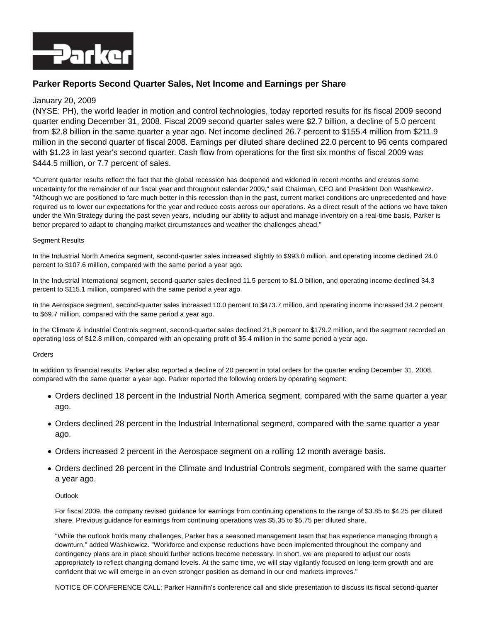

# **Parker Reports Second Quarter Sales, Net Income and Earnings per Share**

## January 20, 2009

(NYSE: PH), the world leader in motion and control technologies, today reported results for its fiscal 2009 second quarter ending December 31, 2008. Fiscal 2009 second quarter sales were \$2.7 billion, a decline of 5.0 percent from \$2.8 billion in the same quarter a year ago. Net income declined 26.7 percent to \$155.4 million from \$211.9 million in the second quarter of fiscal 2008. Earnings per diluted share declined 22.0 percent to 96 cents compared with \$1.23 in last year's second quarter. Cash flow from operations for the first six months of fiscal 2009 was \$444.5 million, or 7.7 percent of sales.

"Current quarter results reflect the fact that the global recession has deepened and widened in recent months and creates some uncertainty for the remainder of our fiscal year and throughout calendar 2009," said Chairman, CEO and President Don Washkewicz. "Although we are positioned to fare much better in this recession than in the past, current market conditions are unprecedented and have required us to lower our expectations for the year and reduce costs across our operations. As a direct result of the actions we have taken under the Win Strategy during the past seven years, including our ability to adjust and manage inventory on a real-time basis, Parker is better prepared to adapt to changing market circumstances and weather the challenges ahead."

#### Segment Results

In the Industrial North America segment, second-quarter sales increased slightly to \$993.0 million, and operating income declined 24.0 percent to \$107.6 million, compared with the same period a year ago.

In the Industrial International segment, second-quarter sales declined 11.5 percent to \$1.0 billion, and operating income declined 34.3 percent to \$115.1 million, compared with the same period a year ago.

In the Aerospace segment, second-quarter sales increased 10.0 percent to \$473.7 million, and operating income increased 34.2 percent to \$69.7 million, compared with the same period a year ago.

In the Climate & Industrial Controls segment, second-quarter sales declined 21.8 percent to \$179.2 million, and the segment recorded an operating loss of \$12.8 million, compared with an operating profit of \$5.4 million in the same period a year ago.

### Orders

In addition to financial results, Parker also reported a decline of 20 percent in total orders for the quarter ending December 31, 2008, compared with the same quarter a year ago. Parker reported the following orders by operating segment:

- Orders declined 18 percent in the Industrial North America segment, compared with the same quarter a year ago.
- Orders declined 28 percent in the Industrial International segment, compared with the same quarter a year ago.
- Orders increased 2 percent in the Aerospace segment on a rolling 12 month average basis.
- Orders declined 28 percent in the Climate and Industrial Controls segment, compared with the same quarter a year ago.

### **Outlook**

For fiscal 2009, the company revised guidance for earnings from continuing operations to the range of \$3.85 to \$4.25 per diluted share. Previous guidance for earnings from continuing operations was \$5.35 to \$5.75 per diluted share.

"While the outlook holds many challenges, Parker has a seasoned management team that has experience managing through a downturn," added Washkewicz. "Workforce and expense reductions have been implemented throughout the company and contingency plans are in place should further actions become necessary. In short, we are prepared to adjust our costs appropriately to reflect changing demand levels. At the same time, we will stay vigilantly focused on long-term growth and are confident that we will emerge in an even stronger position as demand in our end markets improves."

NOTICE OF CONFERENCE CALL: Parker Hannifin's conference call and slide presentation to discuss its fiscal second-quarter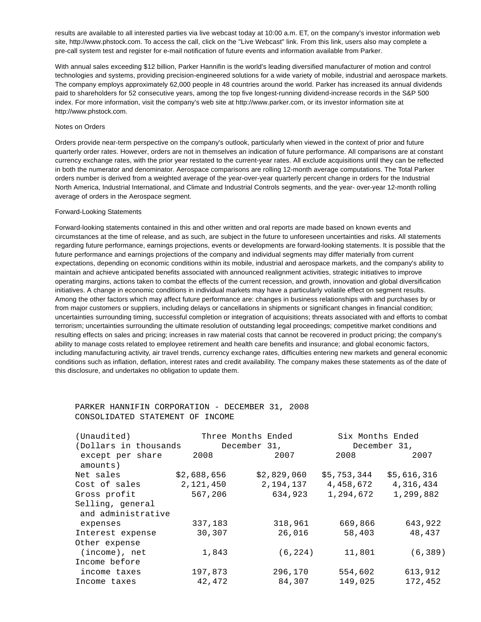results are available to all interested parties via live webcast today at 10:00 a.m. ET, on the company's investor information web site, http://www.phstock.com. To access the call, click on the "Live Webcast" link. From this link, users also may complete a pre-call system test and register for e-mail notification of future events and information available from Parker.

With annual sales exceeding \$12 billion, Parker Hannifin is the world's leading diversified manufacturer of motion and control technologies and systems, providing precision-engineered solutions for a wide variety of mobile, industrial and aerospace markets. The company employs approximately 62,000 people in 48 countries around the world. Parker has increased its annual dividends paid to shareholders for 52 consecutive years, among the top five longest-running dividend-increase records in the S&P 500 index. For more information, visit the company's web site at http://www.parker.com, or its investor information site at http://www.phstock.com.

#### Notes on Orders

Orders provide near-term perspective on the company's outlook, particularly when viewed in the context of prior and future quarterly order rates. However, orders are not in themselves an indication of future performance. All comparisons are at constant currency exchange rates, with the prior year restated to the current-year rates. All exclude acquisitions until they can be reflected in both the numerator and denominator. Aerospace comparisons are rolling 12-month average computations. The Total Parker orders number is derived from a weighted average of the year-over-year quarterly percent change in orders for the Industrial North America, Industrial International, and Climate and Industrial Controls segments, and the year- over-year 12-month rolling average of orders in the Aerospace segment.

#### Forward-Looking Statements

Forward-looking statements contained in this and other written and oral reports are made based on known events and circumstances at the time of release, and as such, are subject in the future to unforeseen uncertainties and risks. All statements regarding future performance, earnings projections, events or developments are forward-looking statements. It is possible that the future performance and earnings projections of the company and individual segments may differ materially from current expectations, depending on economic conditions within its mobile, industrial and aerospace markets, and the company's ability to maintain and achieve anticipated benefits associated with announced realignment activities, strategic initiatives to improve operating margins, actions taken to combat the effects of the current recession, and growth, innovation and global diversification initiatives. A change in economic conditions in individual markets may have a particularly volatile effect on segment results. Among the other factors which may affect future performance are: changes in business relationships with and purchases by or from major customers or suppliers, including delays or cancellations in shipments or significant changes in financial condition; uncertainties surrounding timing, successful completion or integration of acquisitions; threats associated with and efforts to combat terrorism; uncertainties surrounding the ultimate resolution of outstanding legal proceedings; competitive market conditions and resulting effects on sales and pricing; increases in raw material costs that cannot be recovered in product pricing; the company's ability to manage costs related to employee retirement and health care benefits and insurance; and global economic factors, including manufacturing activity, air travel trends, currency exchange rates, difficulties entering new markets and general economic conditions such as inflation, deflation, interest rates and credit availability. The company makes these statements as of the date of this disclosure, and undertakes no obligation to update them.

## PARKER HANNIFIN CORPORATION - DECEMBER 31, 2008 CONSOLIDATED STATEMENT OF INCOME

| (Unaudited)                            |             | Three Months Ended | Six Months Ended |              |
|----------------------------------------|-------------|--------------------|------------------|--------------|
| (Dollars in thousands                  |             | December 31,       |                  | December 31, |
| except per share<br>amounts)           | 2008        | 2007               | 2008             | 2007         |
| Net sales                              | \$2,688,656 | \$2,829,060        | \$5,753,344      | \$5,616,316  |
| Cost of sales                          | 2,121,450   | 2,194,137          | 4,458,672        | 4,316,434    |
| Gross profit                           | 567,206     | 634,923            | 1,294,672        | 1,299,882    |
| Selling, general<br>and administrative |             |                    |                  |              |
| expenses                               | 337,183     | 318,961            | 669,866          | 643,922      |
| Interest expense                       | 30,307      | 26,016             | 58,403           | 48,437       |
| Other expense                          |             |                    |                  |              |
| (income), net                          | 1,843       | (6, 224)           | 11,801           | (6, 389)     |
| Income before                          |             |                    |                  |              |
| income taxes                           | 197,873     | 296,170            | 554,602          | 613,912      |
| Income taxes                           | 42,472      | 84,307             | 149,025          | 172,452      |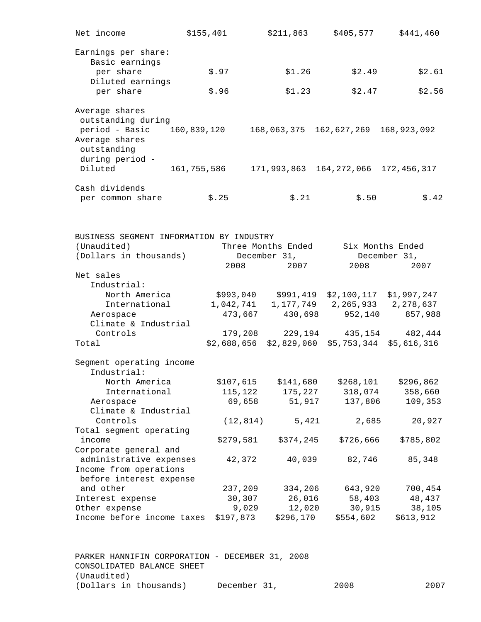| Net income                                              | \$155,401            | \$211,863            | \$405,577               | \$441,460                                                                                 |
|---------------------------------------------------------|----------------------|----------------------|-------------------------|-------------------------------------------------------------------------------------------|
| Earnings per share:                                     |                      |                      |                         |                                                                                           |
| Basic earnings                                          |                      |                      |                         |                                                                                           |
| per share                                               | \$.97                | \$1.26               | \$2.49                  | \$2.61                                                                                    |
| Diluted earnings                                        |                      |                      |                         |                                                                                           |
| per share                                               | \$.96                | \$1.23               | \$2.47                  | \$2.56                                                                                    |
| Average shares                                          |                      |                      |                         |                                                                                           |
| outstanding during                                      |                      |                      |                         |                                                                                           |
| period - Basic                                          | 160,839,120          | 168,063,375          | 162,627,269             | 168,923,092                                                                               |
| Average shares                                          |                      |                      |                         |                                                                                           |
| outstanding                                             |                      |                      |                         |                                                                                           |
| during period -<br>Diluted                              | 161,755,586          | 171,993,863          | 164,272,066             | 172,456,317                                                                               |
|                                                         |                      |                      |                         |                                                                                           |
| Cash dividends                                          |                      |                      |                         |                                                                                           |
| per common share                                        | \$.25                | \$.21                | \$.50                   | \$.42                                                                                     |
|                                                         |                      |                      |                         |                                                                                           |
|                                                         |                      |                      |                         |                                                                                           |
| BUSINESS SEGMENT INFORMATION BY INDUSTRY<br>(Unaudited) |                      | Three Months Ended   |                         | Six Months Ended                                                                          |
| (Dollars in thousands)                                  |                      | December 31,         |                         | December 31,                                                                              |
|                                                         | 2008                 | 2007                 | 2008                    | 2007                                                                                      |
| Net sales                                               |                      |                      |                         |                                                                                           |
| Industrial:                                             |                      |                      |                         |                                                                                           |
| North America                                           | \$993,040            | \$991,419            | \$2,100,117             | \$1,997,247                                                                               |
|                                                         |                      |                      |                         |                                                                                           |
| International                                           |                      |                      |                         |                                                                                           |
| Aerospace                                               | 1,042,741<br>473,667 | 1,177,749<br>430,698 | 2,265,933<br>952,140    |                                                                                           |
| Climate & Industrial                                    |                      |                      |                         |                                                                                           |
| Controls                                                | 179,208              | 229,194              | 435,154                 |                                                                                           |
| Total                                                   | \$2,688,656          | \$2,829,060          | \$5,753,344 \$5,616,316 |                                                                                           |
| Segment operating income                                |                      |                      |                         |                                                                                           |
| Industrial:                                             |                      |                      |                         |                                                                                           |
| North America                                           | \$107,615            | \$141,680            | \$268,101               |                                                                                           |
| International                                           | 115,122              | 175,227              | 318,074                 |                                                                                           |
| Aerospace                                               | 69,658               | 51,917               | 137,806                 |                                                                                           |
| Climate & Industrial                                    |                      |                      |                         |                                                                                           |
| Controls                                                | (12, 814)            | 5,421                | 2,685                   |                                                                                           |
| Total segment operating                                 |                      |                      |                         |                                                                                           |
| income                                                  | \$279,581            | \$374,245            | \$726,666               |                                                                                           |
| Corporate general and                                   |                      |                      |                         | 2,278,637<br>857,988<br>482,444<br>\$296,862<br>358,660<br>109,353<br>20,927<br>\$785,802 |
| administrative expenses                                 | 42,372               | 40,039               | 82,746                  | 85,348                                                                                    |
| Income from operations                                  |                      |                      |                         |                                                                                           |
| before interest expense                                 |                      |                      |                         |                                                                                           |
| and other                                               | 237,209              | 334,206              | 643,920                 | 700,454                                                                                   |
| Interest expense<br>Other expense                       | 30,307<br>9,029      | 26,016<br>12,020     | 58,403<br>30,915        | 48,437<br>38,105                                                                          |

 PARKER HANNIFIN CORPORATION - DECEMBER 31, 2008 CONSOLIDATED BALANCE SHEET (Unaudited) (Dollars in thousands) December 31, 2008 2007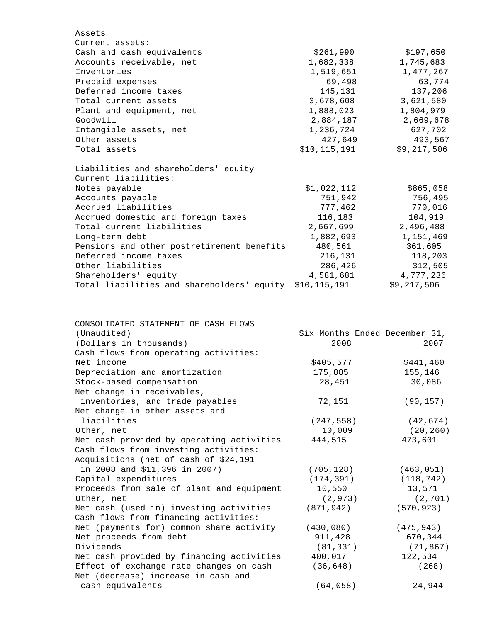| Assets                                     |                |             |
|--------------------------------------------|----------------|-------------|
| Current assets:                            |                |             |
| Cash and cash equivalents                  | \$261,990      | \$197,650   |
| Accounts receivable, net                   | 1,682,338      | 1,745,683   |
| Inventories                                | 1,519,651      | 1,477,267   |
| Prepaid expenses                           | 69,498         | 63,774      |
| Deferred income taxes                      | 145,131        | 137,206     |
| Total current assets                       | 3,678,608      | 3,621,580   |
| Plant and equipment, net                   | 1,888,023      | 1,804,979   |
| Goodwill                                   | 2,884,187      | 2,669,678   |
| Intangible assets, net                     | 1,236,724      | 627,702     |
| Other assets                               | 427,649        | 493,567     |
| Total assets                               | \$10, 115, 191 | \$9,217,506 |
| Liabilities and shareholders' equity       |                |             |
| Current liabilities:                       |                |             |
| Notes payable                              | \$1,022,112    | \$865,058   |
| Accounts payable                           | 751,942        | 756,495     |
| Accrued liabilities                        | 777,462        | 770,016     |
| Accrued domestic and foreign taxes         | 116,183        | 104,919     |
| Total current liabilities                  | 2,667,699      | 2,496,488   |
| Long-term debt                             | 1,882,693      | 1,151,469   |
| Pensions and other postretirement benefits | 480,561        | 361,605     |
| Deferred income taxes                      | 216,131        | 118,203     |
| Other liabilities                          | 286,426        | 312,505     |
| Shareholders' equity                       | 4,581,681      | 4,777,236   |

Total liabilities and shareholders' equity \$10,115,191 \$9,217,506

| CONSOLIDATED STATEMENT OF CASH FLOWS      |                               |            |
|-------------------------------------------|-------------------------------|------------|
| (Unaudited)                               | Six Months Ended December 31, |            |
| (Dollars in thousands)                    | 2008                          | 2007       |
| Cash flows from operating activities:     |                               |            |
| Net income                                | \$405,577                     | \$441,460  |
| Depreciation and amortization             | 175,885                       | 155,146    |
| Stock-based compensation                  | 28,451                        | 30,086     |
| Net change in receivables,                |                               |            |
| inventories, and trade payables           | 72,151                        | (90, 157)  |
| Net change in other assets and            |                               |            |
| liabilities                               | (247, 558)                    | (42, 674)  |
| Other, net                                | 10,009                        | (20, 260)  |
| Net cash provided by operating activities | 444,515                       | 473,601    |
| Cash flows from investing activities:     |                               |            |
| Acquisitions (net of cash of \$24,191     |                               |            |
| in 2008 and \$11,396 in 2007)             | (705, 128)                    | (463, 051) |
| Capital expenditures                      | (174, 391)                    | (118, 742) |
| Proceeds from sale of plant and equipment | 10,550                        | 13,571     |
| Other, net                                | (2, 973)                      | (2, 701)   |
| Net cash (used in) investing activities   | (871, 942)                    | (570, 923) |
| Cash flows from financing activities:     |                               |            |
| Net (payments for) common share activity  | (430, 080)                    | (475, 943) |
| Net proceeds from debt                    | 911,428                       | 670,344    |
| Dividends                                 | (81, 331)                     | (71, 867)  |
| Net cash provided by financing activities | 400,017                       | 122,534    |
| Effect of exchange rate changes on cash   | (36, 648)                     | (268)      |
| Net (decrease) increase in cash and       |                               |            |
| cash equivalents                          | (64, 058)                     | 24,944     |
|                                           |                               |            |